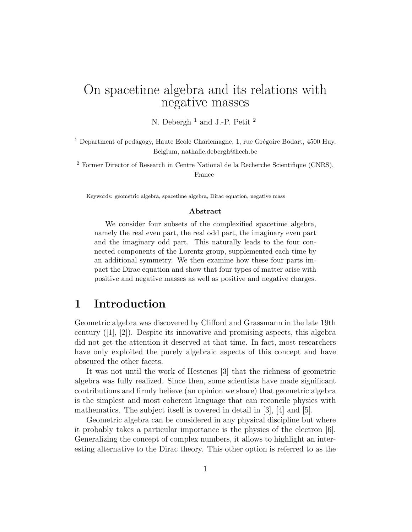# On spacetime algebra and its relations with negative masses

N. Debergh<sup>1</sup> and J.-P. Petit<sup>2</sup>

<sup>1</sup> Department of pedagogy, Haute Ecole Charlemagne, 1, rue Grégoire Bodart, 4500 Huy, Belgium, nathalie.debergh@hech.be

<sup>2</sup> Former Director of Research in Centre National de la Recherche Scientifique (CNRS), France

Keywords: geometric algebra, spacetime algebra, Dirac equation, negative mass

#### **Abstract**

We consider four subsets of the complexified spacetime algebra, namely the real even part, the real odd part, the imaginary even part and the imaginary odd part. This naturally leads to the four connected components of the Lorentz group, supplemented each time by an additional symmetry. We then examine how these four parts impact the Dirac equation and show that four types of matter arise with positive and negative masses as well as positive and negative charges.

#### **1 Introduction**

Geometric algebra was discovered by Clifford and Grassmann in the late 19th century  $([1], [2])$ . Despite its innovative and promising aspects, this algebra did not get the attention it deserved at that time. In fact, most researchers have only exploited the purely algebraic aspects of this concept and have obscured the other facets.

It was not until the work of Hestenes [3] that the richness of geometric algebra was fully realized. Since then, some scientists have made significant contributions and firmly believe (an opinion we share) that geometric algebra is the simplest and most coherent language that can reconcile physics with mathematics. The subject itself is covered in detail in [3], [4] and [5].

Geometric algebra can be considered in any physical discipline but where it probably takes a particular importance is the physics of the electron [6]. Generalizing the concept of complex numbers, it allows to highlight an interesting alternative to the Dirac theory. This other option is referred to as the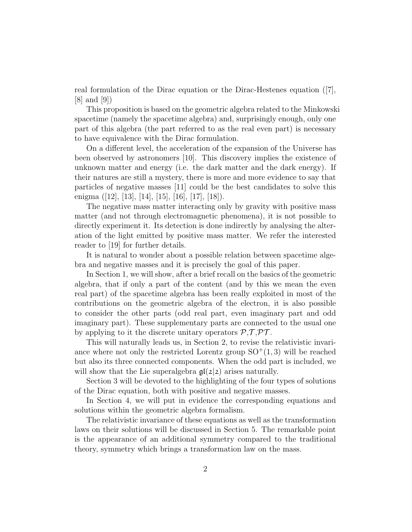real formulation of the Dirac equation or the Dirac-Hestenes equation ([7],  $|8|$  and  $|9|$ 

This proposition is based on the geometric algebra related to the Minkowski spacetime (namely the spacetime algebra) and, surprisingly enough, only one part of this algebra (the part referred to as the real even part) is necessary to have equivalence with the Dirac formulation.

On a different level, the acceleration of the expansion of the Universe has been observed by astronomers [10]. This discovery implies the existence of unknown matter and energy (i.e. the dark matter and the dark energy). If their natures are still a mystery, there is more and more evidence to say that particles of negative masses [11] could be the best candidates to solve this enigma ([12], [13], [14], [15], [16], [17], [18]).

The negative mass matter interacting only by gravity with positive mass matter (and not through electromagnetic phenomena), it is not possible to directly experiment it. Its detection is done indirectly by analysing the alteration of the light emitted by positive mass matter. We refer the interested reader to [19] for further details.

It is natural to wonder about a possible relation between spacetime algebra and negative masses and it is precisely the goal of this paper.

In Section 1, we will show, after a brief recall on the basics of the geometric algebra, that if only a part of the content (and by this we mean the even real part) of the spacetime algebra has been really exploited in most of the contributions on the geometric algebra of the electron, it is also possible to consider the other parts (odd real part, even imaginary part and odd imaginary part). These supplementary parts are connected to the usual one by applying to it the discrete unitary operators  $P, T, PT$ .

This will naturally leads us, in Section 2, to revise the relativistic invariance where not only the restricted Lorentz group  $SO^+(1,3)$  will be reached but also its three connected components. When the odd part is included, we will show that the Lie superalgebra gl(2*|*2) arises naturally.

Section 3 will be devoted to the highlighting of the four types of solutions of the Dirac equation, both with positive and negative masses.

In Section 4, we will put in evidence the corresponding equations and solutions within the geometric algebra formalism.

The relativistic invariance of these equations as well as the transformation laws on their solutions will be discussed in Section 5. The remarkable point is the appearance of an additional symmetry compared to the traditional theory, symmetry which brings a transformation law on the mass.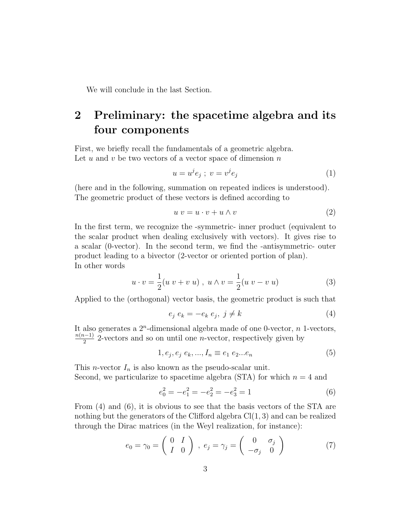We will conclude in the last Section.

# **2 Preliminary: the spacetime algebra and its four components**

First, we briefly recall the fundamentals of a geometric algebra. Let *u* and *v* be two vectors of a vector space of dimension *n*

$$
u = u^j e_j ; v = v^j e_j \tag{1}
$$

(here and in the following, summation on repeated indices is understood). The geometric product of these vectors is defined according to

$$
u v = u \cdot v + u \wedge v \tag{2}
$$

In the first term, we recognize the -symmetric- inner product (equivalent to the scalar product when dealing exclusively with vectors). It gives rise to a scalar (0-vector). In the second term, we find the -antisymmetric- outer product leading to a bivector (2-vector or oriented portion of plan). In other words

$$
u \cdot v = \frac{1}{2}(u v + v u), \ u \wedge v = \frac{1}{2}(u v - v u)
$$
 (3)

Applied to the (orthogonal) vector basis, the geometric product is such that

$$
e_j e_k = -e_k e_j, \ j \neq k \tag{4}
$$

It also generates a 2*<sup>n</sup>* -dimensional algebra made of one 0-vector, *n* 1-vectors,  $\frac{n(n-1)}{2}$  2-vectors and so on until one *n*-vector, respectively given by

$$
1, e_j, e_j, e_k, ..., I_n \equiv e_1 \, e_2...e_n \tag{5}
$$

This *n*-vector  $I_n$  is also known as the pseudo-scalar unit. Second, we particularize to spacetime algebra (STA) for which  $n = 4$  and

$$
e_0^2 = -e_1^2 = -e_2^2 = -e_3^2 = 1\tag{6}
$$

From (4) and (6), it is obvious to see that the basis vectors of the STA are nothing but the generators of the Clifford algebra Cl(1*,* 3) and can be realized through the Dirac matrices (in the Weyl realization, for instance):

$$
e_0 = \gamma_0 = \begin{pmatrix} 0 & I \\ I & 0 \end{pmatrix}, e_j = \gamma_j = \begin{pmatrix} 0 & \sigma_j \\ -\sigma_j & 0 \end{pmatrix}
$$
 (7)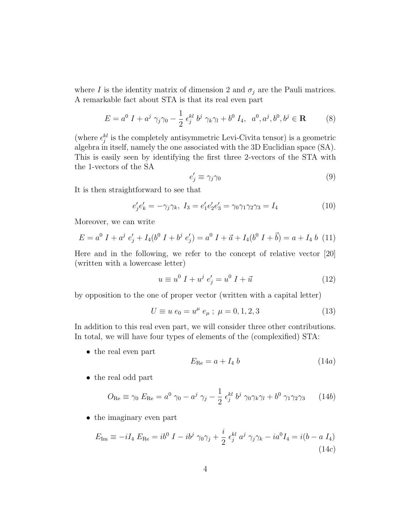where *I* is the identity matrix of dimension 2 and  $\sigma_j$  are the Pauli matrices. A remarkable fact about STA is that its real even part

$$
E = a^{0} I + a^{j} \gamma_{j} \gamma_{0} - \frac{1}{2} \epsilon_{j}^{kl} b^{j} \gamma_{k} \gamma_{l} + b^{0} I_{4}, \ a^{0}, a^{j}, b^{0}, b^{j} \in \mathbf{R}
$$
 (8)

(where  $\epsilon_j^{kl}$  is the completely antisymmetric Levi-Civita tensor) is a geometric algebra in itself, namely the one associated with the 3D Euclidian space (SA). This is easily seen by identifying the first three 2-vectors of the STA with the 1-vectors of the SA

$$
e'_j \equiv \gamma_j \gamma_0 \tag{9}
$$

It is then straightforward to see that

$$
e'_j e'_k = -\gamma_j \gamma_k, \ I_3 = e'_1 e'_2 e'_3 = \gamma_0 \gamma_1 \gamma_2 \gamma_3 = I_4 \tag{10}
$$

Moreover, we can write

$$
E = a^{0} I + a^{j} e'_{j} + I_{4}(b^{0} I + b^{j} e'_{j}) = a^{0} I + \vec{a} + I_{4}(b^{0} I + \vec{b}) = a + I_{4} b
$$
 (11)

Here and in the following, we refer to the concept of relative vector [20] (written with a lowercase letter)

$$
u \equiv u^0 I + u^j e'_j = u^0 I + \vec{u}
$$
 (12)

by opposition to the one of proper vector (written with a capital letter)

$$
U \equiv u \; e_0 = u^{\mu} \; e_{\mu} \; ; \; \mu = 0, 1, 2, 3 \tag{13}
$$

In addition to this real even part, we will consider three other contributions. In total, we will have four types of elements of the (complexified) STA:

*•* the real even part

$$
E_{\text{Re}} = a + I_4 \, b \tag{14a}
$$

*•* the real odd part

$$
O_{\text{Re}} \equiv \gamma_0 \ E_{\text{Re}} = a^0 \ \gamma_0 - a^j \ \gamma_j - \frac{1}{2} \ \epsilon_j^{kl} \ b^j \ \gamma_0 \gamma_k \gamma_l + b^0 \ \gamma_1 \gamma_2 \gamma_3 \tag{14b}
$$

*•* the imaginary even part

$$
E_{\rm Im} \equiv -iI_4 \ E_{\rm Re} = ib^0 \ I - ib^j \ \gamma_0 \gamma_j + \frac{i}{2} \ \epsilon_j^{kl} \ a^j \ \gamma_j \gamma_k - ia^0 I_4 = i(b - a \ I_4)
$$
\n(14c)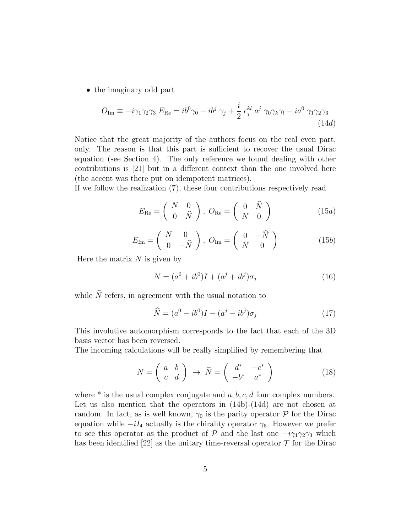*•* the imaginary odd part

$$
O_{\text{Im}} \equiv -i\gamma_1\gamma_2\gamma_3 \ E_{\text{Re}} = ib^0\gamma_0 - ib^j \ \gamma_j + \frac{i}{2} \ \epsilon_j^{kl} \ a^j \ \gamma_0\gamma_k\gamma_l - ia^0 \ \gamma_1\gamma_2\gamma_3 \tag{14d}
$$

Notice that the great majority of the authors focus on the real even part, only. The reason is that this part is sufficient to recover the usual Dirac equation (see Section 4). The only reference we found dealing with other contributions is [21] but in a different context than the one involved here (the accent was there put on idempotent matrices).

If we follow the realization (7), these four contributions respectively read

$$
E_{\text{Re}} = \begin{pmatrix} N & 0 \\ 0 & \hat{N} \end{pmatrix}, \ O_{\text{Re}} = \begin{pmatrix} 0 & \hat{N} \\ N & 0 \end{pmatrix}
$$
 (15a)

$$
E_{\text{Im}} = \begin{pmatrix} N & 0 \\ 0 & -\hat{N} \end{pmatrix}, \ O_{\text{Im}} = \begin{pmatrix} 0 & -\hat{N} \\ N & 0 \end{pmatrix}
$$
 (15b)

Here the matrix *N* is given by

$$
N = (a^{0} + ib^{0})I + (a^{j} + ib^{j})\sigma_{j}
$$
\n(16)

while  $\widehat{N}$  refers, in agreement with the usual notation to

$$
\widehat{N} = (a^0 - ib^0)I - (a^j - ib^j)\sigma_j \tag{17}
$$

This involutive automorphism corresponds to the fact that each of the 3D basis vector has been reversed.

The incoming calculations will be really simplified by remembering that

$$
N = \left(\begin{array}{cc} a & b \\ c & d \end{array}\right) \rightarrow \widehat{N} = \left(\begin{array}{cc} d^* & -c^* \\ -b^* & a^* \end{array}\right) \tag{18}
$$

where  $*$  is the usual complex conjugate and  $a, b, c, d$  four complex numbers. Let us also mention that the operators in  $(14b)-(14d)$  are not chosen at random. In fact, as is well known,  $\gamma_0$  is the parity operator  $P$  for the Dirac equation while  $-iI_4$  actually is the chirality operator  $\gamma_5$ . However we prefer to see this operator as the product of  $\mathcal{P}$  and the last one  $-i\gamma_1\gamma_2\gamma_3$  which has been identified [22] as the unitary time-reversal operator  $\mathcal T$  for the Dirac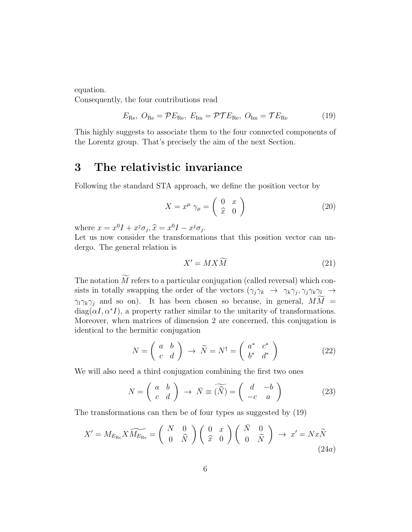equation.

Consequently, the four contributions read

$$
E_{\text{Re}}, O_{\text{Re}} = \mathcal{P}E_{\text{Re}}, E_{\text{Im}} = \mathcal{P}\mathcal{T}E_{\text{Re}}, O_{\text{Im}} = \mathcal{T}E_{\text{Re}}
$$
(19)

This highly suggests to associate them to the four connected components of the Lorentz group. That's precisely the aim of the next Section.

#### **3 The relativistic invariance**

Following the standard STA approach, we define the position vector by

$$
X = x^{\mu} \gamma_{\mu} = \begin{pmatrix} 0 & x \\ \hat{x} & 0 \end{pmatrix}
$$
 (20)

where  $x = x^0 I + x^j \sigma_j$ ,  $\hat{x} = x^0 I - x^j \sigma_j$ .<br>Let us now consider the transformation

Let us now consider the transformations that this position vector can undergo. The general relation is

$$
X' = MX\widetilde{M}
$$
\n<sup>(21)</sup>

The notation  $\widetilde{M}$  refers to a particular conjugation (called reversal) which consists in totally swapping the order of the vectors  $(\gamma_j \gamma_k \rightarrow \gamma_k \gamma_j, \gamma_j \gamma_k \gamma_l \rightarrow$ *γ*<sub>*l*</sub>*γ*<sub>*k*</sub>*γ*<sub>*j*</sub> and so on). It has been chosen so because, in general,  $M\widetilde{M}$  =  $diag(\alpha I, \alpha^* I)$ , a property rather similar to the unitarity of transformations. Moreover, when matrices of dimension 2 are concerned, this conjugation is identical to the hermitic conjugation

$$
N = \left(\begin{array}{cc} a & b \\ c & d \end{array}\right) \rightarrow \widetilde{N} = N^{\dagger} = \left(\begin{array}{cc} a^* & c^* \\ b^* & d^* \end{array}\right) \tag{22}
$$

We will also need a third conjugation combining the first two ones

$$
N = \begin{pmatrix} a & b \\ c & d \end{pmatrix} \rightarrow \bar{N} \equiv \widetilde{N} = \begin{pmatrix} d & -b \\ -c & a \end{pmatrix}
$$
 (23)

The transformations can then be of four types as suggested by (19)

$$
X' = M_{E_{\text{Re}}} X \widetilde{M_{E_{\text{Re}}}} = \begin{pmatrix} N & 0 \\ 0 & \widehat{N} \end{pmatrix} \begin{pmatrix} 0 & x \\ \widehat{x} & 0 \end{pmatrix} \begin{pmatrix} \bar{N} & 0 \\ 0 & \widetilde{N} \end{pmatrix} \rightarrow x' = Nx\widetilde{N}
$$
\n(24a)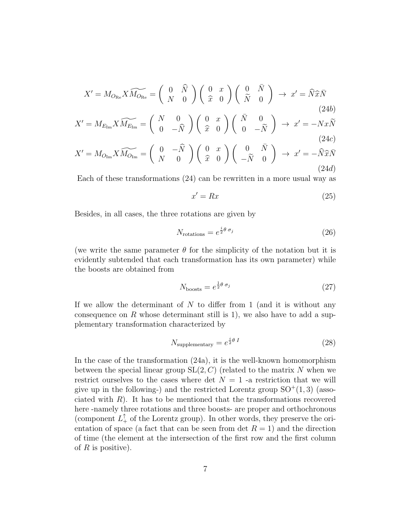$$
X' = M_{O_{\text{Re}}} X \widetilde{M_{O_{\text{Re}}}} = \begin{pmatrix} 0 & \widehat{N} \\ N & 0 \end{pmatrix} \begin{pmatrix} 0 & x \\ \widehat{x} & 0 \end{pmatrix} \begin{pmatrix} 0 & \bar{N} \\ \widetilde{N} & 0 \end{pmatrix} \rightarrow x' = \widehat{N} \widehat{x} \overline{N}
$$
\n
$$
(24b)
$$
\n
$$
X' = M_{E_{\text{Im}}} X \widetilde{M_{E_{\text{Im}}}} = \begin{pmatrix} N & 0 \\ 0 & -\widehat{N} \end{pmatrix} \begin{pmatrix} 0 & x \\ \widehat{x} & 0 \end{pmatrix} \begin{pmatrix} \bar{N} & 0 \\ 0 & -\widetilde{N} \end{pmatrix} \rightarrow x' = -Nx\widetilde{N}
$$
\n
$$
(24c)
$$
\n
$$
X' = M_{O_{\text{Im}}} X \widetilde{M_{O_{\text{Im}}}} = \begin{pmatrix} 0 & -\widehat{N} \\ N & 0 \end{pmatrix} \begin{pmatrix} 0 & x \\ \widehat{x} & 0 \end{pmatrix} \begin{pmatrix} 0 & \bar{N} \\ -\widetilde{N} & 0 \end{pmatrix} \rightarrow x' = -\widehat{N} \widehat{x} \overline{N}
$$
\n
$$
(24d)
$$

Each of these transformations (24) can be rewritten in a more usual way as

$$
x' = Rx \tag{25}
$$

(24*d*)

Besides, in all cases, the three rotations are given by

$$
N_{\text{rotations}} = e^{\frac{i}{2}\theta \sigma_j} \tag{26}
$$

(we write the same parameter  $\theta$  for the simplicity of the notation but it is evidently subtended that each transformation has its own parameter) while the boosts are obtained from

$$
N_{\text{boosts}} = e^{\frac{1}{2}\theta \sigma_j} \tag{27}
$$

If we allow the determinant of *N* to differ from 1 (and it is without any consequence on  $R$  whose determinant still is 1), we also have to add a supplementary transformation characterized by

$$
N_{\text{supplementary}} = e^{\frac{i}{2}\theta \, I} \tag{28}
$$

In the case of the transformation (24a), it is the well-known homomorphism between the special linear group SL(2*, C*) (related to the matrix *N* when we restrict ourselves to the cases where det  $N = 1$  -a restriction that we will give up in the following-) and the restricted Lorentz group  $SO^+(1,3)$  (associated with  $R$ ). It has to be mentioned that the transformations recovered here -namely three rotations and three boosts- are proper and orthochronous (component  $L_+^{\dagger}$  of the Lorentz group). In other words, they preserve the orientation of space (a fact that can be seen from det  $R = 1$ ) and the direction of time (the element at the intersection of the first row and the first column of *R* is positive).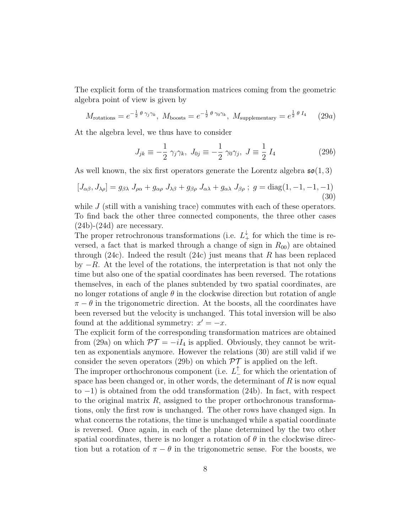The explicit form of the transformation matrices coming from the geometric algebra point of view is given by

$$
M_{\text{rotations}} = e^{-\frac{1}{2} \theta \gamma_j \gamma_k}, \ M_{\text{boosts}} = e^{-\frac{1}{2} \theta \gamma_0 \gamma_k}, \ M_{\text{supplementary}} = e^{\frac{1}{2} \theta I_4} \tag{29a}
$$

At the algebra level, we thus have to consider

$$
J_{jk} \equiv -\frac{1}{2} \gamma_j \gamma_k, \ J_{0j} \equiv -\frac{1}{2} \gamma_0 \gamma_j, \ J \equiv \frac{1}{2} I_4 \tag{29b}
$$

As well known, the six first operators generate the Lorentz algebra  $\mathfrak{so}(1,3)$ 

$$
[J_{\alpha\beta}, J_{\lambda\rho}] = g_{\beta\lambda} J_{\rho\alpha} + g_{\alpha\rho} J_{\lambda\beta} + g_{\beta\rho} J_{\alpha\lambda} + g_{\alpha\lambda} J_{\beta\rho} ; g = \text{diag}(1, -1, -1, -1)
$$
\n(30)

while *J* (still with a vanishing trace) commutes with each of these operators. To find back the other three connected components, the three other cases  $(24b)-(24d)$  are necessary.

The proper retrochronous transformations (i.e.  $L^{\downarrow}_{+}$  for which the time is reversed, a fact that is marked through a change of sign in  $R_{00}$  are obtained through (24c). Indeed the result (24c) just means that *R* has been replaced by *−R*. At the level of the rotations, the interpretation is that not only the time but also one of the spatial coordinates has been reversed. The rotations themselves, in each of the planes subtended by two spatial coordinates, are no longer rotations of angle *θ* in the clockwise direction but rotation of angle  $\pi - \theta$  in the trigonometric direction. At the boosts, all the coordinates have been reversed but the velocity is unchanged. This total inversion will be also found at the additional symmetry:  $x' = -x$ .

The explicit form of the corresponding transformation matrices are obtained from (29a) on which  $\mathcal{PT} = -iI_4$  is applied. Obviously, they cannot be written as exponentials anymore. However the relations (30) are still valid if we consider the seven operators (29b) on which  $\mathcal{PT}$  is applied on the left.

The improper orthochronous component (i.e.  $L^{\perp}$  for which the orientation of space has been changed or, in other words, the determinant of *R* is now equal to *−*1) is obtained from the odd transformation (24b). In fact, with respect to the original matrix *R*, assigned to the proper orthochronous transformations, only the first row is unchanged. The other rows have changed sign. In what concerns the rotations, the time is unchanged while a spatial coordinate is reversed. Once again, in each of the plane determined by the two other spatial coordinates, there is no longer a rotation of  $\theta$  in the clockwise direction but a rotation of  $\pi - \theta$  in the trigonometric sense. For the boosts, we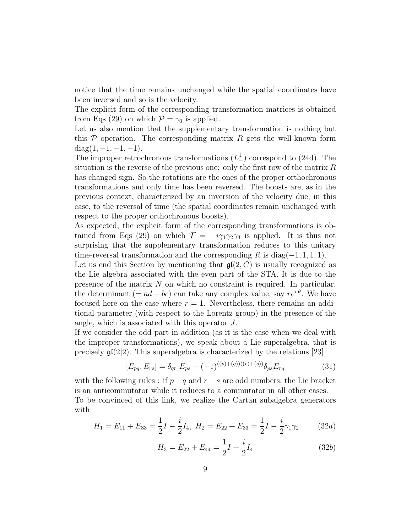notice that the time remains unchanged while the spatial coordinates have been inversed and so is the velocity.

The explicit form of the corresponding transformation matrices is obtained from Eqs (29) on which  $P = \gamma_0$  is applied.

Let us also mention that the supplementary transformation is nothing but this *P* operation. The corresponding matrix *R* gets the well-known form diag(1*, −*1*, −*1*, −*1).

The improper retrochronous transformations (*L ↓ <sup>−</sup>*) correspond to (24d). The situation is the reverse of the previous one: only the first row of the matrix *R* has changed sign. So the rotations are the ones of the proper orthochronous transformations and only time has been reversed. The boosts are, as in the previous context, characterized by an inversion of the velocity due, in this case, to the reversal of time (the spatial coordinates remain unchanged with respect to the proper orthochronous boosts).

As expected, the explicit form of the corresponding transformations is obtained from Eqs (29) on which  $\mathcal{T} = -i\gamma_1\gamma_2\gamma_3$  is applied. It is thus not surprising that the supplementary transformation reduces to this unitary time-reversal transformation and the corresponding *R* is diag(*−*1*,* 1*,* 1*,* 1).

Let us end this Section by mentioning that  $\mathfrak{gl}(2, C)$  is usually recognized as the Lie algebra associated with the even part of the STA. It is due to the presence of the matrix *N* on which no constraint is required. In particular, the determinant (=  $ad - bc$ ) can take any complex value, say  $re^{i\theta}$ . We have focused here on the case where  $r = 1$ . Nevertheless, there remains an additional parameter (with respect to the Lorentz group) in the presence of the angle, which is associated with this operator *J*.

If we consider the odd part in addition (as it is the case when we deal with the improper transformations), we speak about a Lie superalgebra, that is precisely  $\mathfrak{gl}(2|2)$ . This superalgebra is characterized by the relations [23]

$$
[E_{pq}, E_{rs}] = \delta_{qr} E_{ps} - (-1)^{((p)+(q))((r)+(s))} \delta_{ps} E_{rq}
$$
\n(31)

with the following rules : if  $p + q$  and  $r + s$  are odd numbers, the Lie bracket is an anticommutator while it reduces to a commutator in all other cases.

To be convinced of this link, we realize the Cartan subalgebra generators with

$$
H_1 = E_{11} + E_{33} = \frac{1}{2}I - \frac{i}{2}I_4, \ H_2 = E_{22} + E_{33} = \frac{1}{2}I - \frac{i}{2}\gamma_1\gamma_2 \tag{32a}
$$

$$
H_3 = E_{22} + E_{44} = \frac{1}{2}I + \frac{i}{2}I_4
$$
 (32*b*)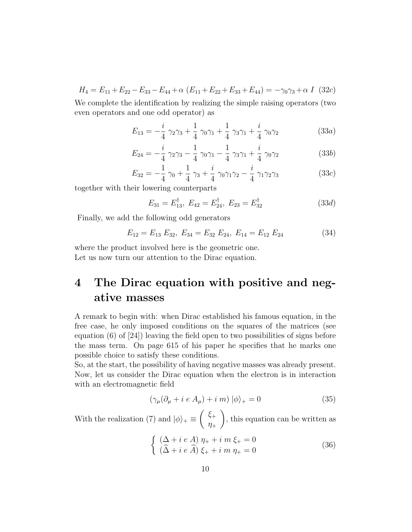$H_4 = E_{11} + E_{22} - E_{33} - E_{44} + \alpha \ (E_{11} + E_{22} + E_{33} + E_{44}) = -\gamma_0 \gamma_3 + \alpha \ I \ (32c)$ 

We complete the identification by realizing the simple raising operators (two even operators and one odd operator) as

$$
E_{13} = -\frac{i}{4} \gamma_2 \gamma_3 + \frac{1}{4} \gamma_0 \gamma_1 + \frac{1}{4} \gamma_3 \gamma_1 + \frac{i}{4} \gamma_0 \gamma_2 \tag{33a}
$$

$$
E_{24} = -\frac{i}{4} \gamma_2 \gamma_3 - \frac{1}{4} \gamma_0 \gamma_1 - \frac{1}{4} \gamma_3 \gamma_1 + \frac{i}{4} \gamma_0 \gamma_2 \tag{33b}
$$

$$
E_{32} = -\frac{1}{4} \gamma_0 + \frac{1}{4} \gamma_3 + \frac{i}{4} \gamma_0 \gamma_1 \gamma_2 - \frac{i}{4} \gamma_1 \gamma_2 \gamma_3 \tag{33c}
$$

together with their lowering counterparts

$$
E_{31} = E_{13}^{\dagger}, \ E_{42} = E_{24}^{\dagger}, \ E_{23} = E_{32}^{\dagger} \tag{33d}
$$

Finally, we add the following odd generators

$$
E_{12} = E_{13} E_{32}, \ E_{34} = E_{32} E_{24}, \ E_{14} = E_{12} E_{24}
$$
 (34)

where the product involved here is the geometric one. Let us now turn our attention to the Dirac equation.

# **4 The Dirac equation with positive and negative masses**

A remark to begin with: when Dirac established his famous equation, in the free case, he only imposed conditions on the squares of the matrices (see equation (6) of [24]) leaving the field open to two possibilities of signs before the mass term. On page 615 of his paper he specifies that he marks one possible choice to satisfy these conditions.

So, at the start, the possibility of having negative masses was already present. Now, let us consider the Dirac equation when the electron is in interaction with an electromagnetic field

$$
(\gamma_{\mu}(\partial_{\mu} + i e A_{\mu}) + i m) |\phi\rangle_{+} = 0 \tag{35}
$$

With the realization (7) and  $|\phi\rangle_+ \equiv \begin{pmatrix} \xi_+ & \dots & \xi_{n-1} \\ n_+ & n_+ \end{pmatrix}$ *η*+ ) , this equation can be written as

$$
\begin{cases} (\Delta + i e A) \eta_{+} + i m \xi_{+} = 0 \\ (\hat{\Delta} + i e \hat{A}) \xi_{+} + i m \eta_{+} = 0 \end{cases}
$$
 (36)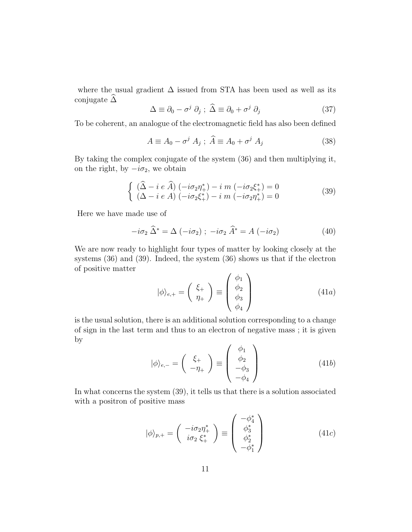where the usual gradient  $\Delta$  issued from STA has been used as well as its conjugate  $\Delta$ 

$$
\Delta \equiv \partial_0 - \sigma^j \partial_j ; \ \hat{\Delta} \equiv \partial_0 + \sigma^j \partial_j \tag{37}
$$

To be coherent, an analogue of the electromagnetic field has also been defined

$$
A \equiv A_0 - \sigma^j A_j \; ; \; \widehat{A} \equiv A_0 + \sigma^j A_j \tag{38}
$$

By taking the complex conjugate of the system (36) and then multiplying it, on the right, by  $-i\sigma_2$ , we obtain

$$
\begin{cases} (\hat{\Delta} - i e \hat{A}) (-i\sigma_2 \eta_+^*) - i m (-i\sigma_2 \xi_+^*) = 0 \\ (\Delta - i e A) (-i\sigma_2 \xi_+^*) - i m (-i\sigma_2 \eta_+^*) = 0 \end{cases}
$$
(39)

Here we have made use of

$$
-i\sigma_2 \,\widehat{\Delta}^* = \Delta \, (-i\sigma_2) \; ; \; -i\sigma_2 \,\widehat{A}^* = A \, (-i\sigma_2) \tag{40}
$$

We are now ready to highlight four types of matter by looking closely at the systems (36) and (39). Indeed, the system (36) shows us that if the electron of positive matter

$$
|\phi\rangle_{e,+} = \begin{pmatrix} \xi_{+} \\ \eta_{+} \end{pmatrix} \equiv \begin{pmatrix} \phi_{1} \\ \phi_{2} \\ \phi_{3} \\ \phi_{4} \end{pmatrix}
$$
 (41*a*)

is the usual solution, there is an additional solution corresponding to a change of sign in the last term and thus to an electron of negative mass ; it is given by

$$
|\phi\rangle_{e,-} = \begin{pmatrix} \xi_{+} \\ -\eta_{+} \end{pmatrix} \equiv \begin{pmatrix} \phi_{1} \\ \phi_{2} \\ -\phi_{3} \\ -\phi_{4} \end{pmatrix}
$$
 (41b)

In what concerns the system (39), it tells us that there is a solution associated with a positron of positive mass

$$
|\phi\rangle_{p,+} = \begin{pmatrix} -i\sigma_2 \eta_+^* \\ i\sigma_2 \xi_+^* \end{pmatrix} \equiv \begin{pmatrix} -\phi_4^* \\ \phi_3^* \\ \phi_2^* \\ -\phi_1^* \end{pmatrix}
$$
(41*c*)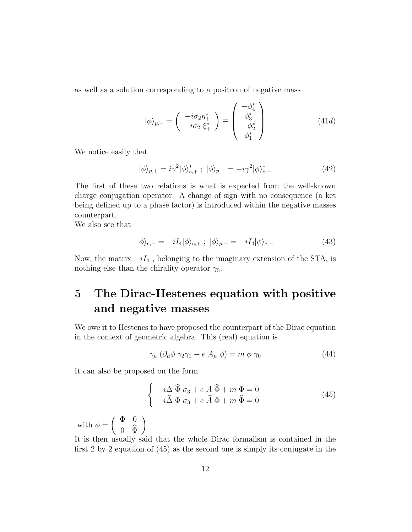as well as a solution corresponding to a positron of negative mass

$$
|\phi\rangle_{p,-} = \begin{pmatrix} -i\sigma_2 \eta_+^* \\ -i\sigma_2 \xi_+^* \end{pmatrix} \equiv \begin{pmatrix} -\phi_4^* \\ \phi_3^* \\ -\phi_2^* \\ \phi_1^* \end{pmatrix}
$$
(41*d*)

We notice easily that

$$
|\phi\rangle_{p,+} = i\gamma^2 |\phi\rangle_{e,+}^* \; ; \; |\phi\rangle_{p,-} = -i\gamma^2 |\phi\rangle_{e,-}^* \tag{42}
$$

The first of these two relations is what is expected from the well-known charge conjugation operator. A change of sign with no consequence (a ket being defined up to a phase factor) is introduced within the negative masses counterpart.

We also see that

$$
|\phi\rangle_{e,-} = -iI_4|\phi\rangle_{e,+} ; |\phi\rangle_{p,-} = -iI_4|\phi\rangle_{e,-}
$$
 (43)

Now, the matrix *−iI*<sup>4</sup> , belonging to the imaginary extension of the STA, is nothing else than the chirality operator  $\gamma_5$ .

# **5 The Dirac-Hestenes equation with positive and negative masses**

We owe it to Hestenes to have proposed the counterpart of the Dirac equation in the context of geometric algebra. This (real) equation is

$$
\gamma_{\mu} \left( \partial_{\mu} \phi \gamma_2 \gamma_1 - e A_{\mu} \phi \right) = m \phi \gamma_0 \tag{44}
$$

It can also be proposed on the form

$$
\begin{cases}\n-i\Delta \widehat{\Phi} \sigma_3 + e A \widehat{\Phi} + m \Phi = 0 \\
-i\widehat{\Delta} \Phi \sigma_3 + e \widehat{A} \Phi + m \widehat{\Phi} = 0\n\end{cases}
$$
\n(45)

with  $\phi = \begin{pmatrix} \Phi & 0 \\ 0 & \hat{\pi} \end{pmatrix}$  $0 \Phi$ ) .

It is then usually said that the whole Dirac formalism is contained in the first 2 by 2 equation of (45) as the second one is simply its conjugate in the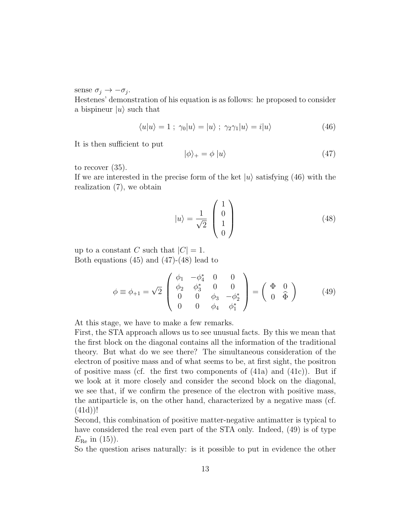sense  $\sigma_j \rightarrow -\sigma_j$ .

Hestenes' demonstration of his equation is as follows: he proposed to consider a bispineur  $|u\rangle$  such that

$$
\langle u|u\rangle = 1 \; ; \; \gamma_0|u\rangle = |u\rangle \; ; \; \gamma_2\gamma_1|u\rangle = i|u\rangle \tag{46}
$$

It is then sufficient to put

$$
|\phi\rangle_{+} = \phi |u\rangle \tag{47}
$$

to recover (35).

If we are interested in the precise form of the ket  $|u\rangle$  satisfying (46) with the realization (7), we obtain

$$
|u\rangle = \frac{1}{\sqrt{2}} \begin{pmatrix} 1 \\ 0 \\ 1 \\ 0 \end{pmatrix}
$$
 (48)

up to a constant *C* such that  $|C| = 1$ . Both equations (45) and (47)-(48) lead to

$$
\phi \equiv \phi_{+1} = \sqrt{2} \begin{pmatrix} \phi_1 & -\phi_4^* & 0 & 0 \\ \phi_2 & \phi_3^* & 0 & 0 \\ 0 & 0 & \phi_3 & -\phi_2^* \\ 0 & 0 & \phi_4 & \phi_1^* \end{pmatrix} = \begin{pmatrix} \Phi & 0 \\ 0 & \widehat{\Phi} \end{pmatrix}
$$
 (49)

At this stage, we have to make a few remarks.

First, the STA approach allows us to see unusual facts. By this we mean that the first block on the diagonal contains all the information of the traditional theory. But what do we see there? The simultaneous consideration of the electron of positive mass and of what seems to be, at first sight, the positron of positive mass (cf. the first two components of  $(41a)$  and  $(41c)$ ). But if we look at it more closely and consider the second block on the diagonal, we see that, if we confirm the presence of the electron with positive mass, the antiparticle is, on the other hand, characterized by a negative mass (cf. (41d))!

Second, this combination of positive matter-negative antimatter is typical to have considered the real even part of the STA only. Indeed, (49) is of type  $E_{\text{Re}}$  in (15)).

So the question arises naturally: is it possible to put in evidence the other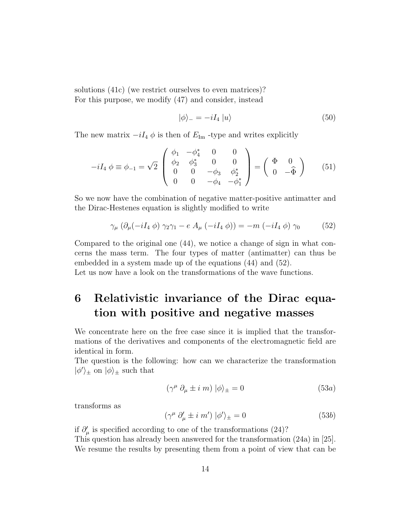solutions (41c) (we restrict ourselves to even matrices)? For this purpose, we modify (47) and consider, instead

$$
|\phi\rangle_{-} = -iI_4 |u\rangle \tag{50}
$$

The new matrix  $-iI_4 \phi$  is then of  $E_{\text{Im}}$  -type and writes explicitly

$$
-iI_4 \phi \equiv \phi_{-1} = \sqrt{2} \begin{pmatrix} \phi_1 & -\phi_4^* & 0 & 0 \\ \phi_2 & \phi_3^* & 0 & 0 \\ 0 & 0 & -\phi_3 & \phi_2^* \\ 0 & 0 & -\phi_4 & -\phi_1^* \end{pmatrix} = \begin{pmatrix} \Phi & 0 \\ 0 & -\widehat{\Phi} \end{pmatrix}
$$
 (51)

So we now have the combination of negative matter-positive antimatter and the Dirac-Hestenes equation is slightly modified to write

$$
\gamma_{\mu} \left( \partial_{\mu} (-iI_4 \phi) \gamma_2 \gamma_1 - e A_{\mu} (-iI_4 \phi) \right) = -m \left( -iI_4 \phi \right) \gamma_0 \tag{52}
$$

Compared to the original one (44), we notice a change of sign in what concerns the mass term. The four types of matter (antimatter) can thus be embedded in a system made up of the equations (44) and (52).

Let us now have a look on the transformations of the wave functions.

### **6 Relativistic invariance of the Dirac equation with positive and negative masses**

We concentrate here on the free case since it is implied that the transformations of the derivatives and components of the electromagnetic field are identical in form.

The question is the following: how can we characterize the transformation  $|\phi'\rangle$ <sub> $\pm$ </sub> on  $|\phi\rangle$ <sub> $\pm$ </sub> such that

$$
(\gamma^{\mu} \partial_{\mu} \pm i \, m) \, |\phi\rangle_{\pm} = 0 \tag{53a}
$$

transforms as

$$
(\gamma^{\mu} \partial'_{\mu} \pm i \, m') \, |\phi'\rangle_{\pm} = 0 \tag{53b}
$$

if  $\partial'_{\mu}$  is specified according to one of the transformations (24)? This question has already been answered for the transformation (24a) in [25]. We resume the results by presenting them from a point of view that can be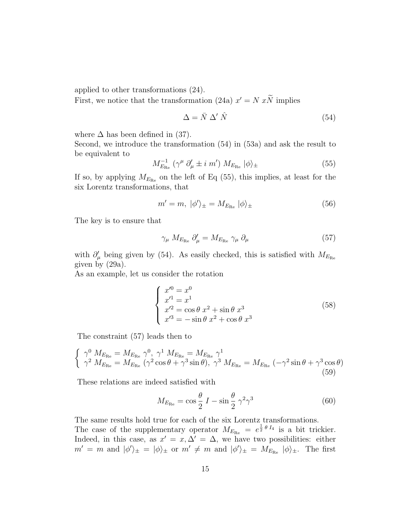applied to other transformations (24).

First, we notice that the transformation (24a)  $x' = N xN$  implies

$$
\Delta = \bar{N} \; \Delta' \; \hat{N} \tag{54}
$$

where  $\Delta$  has been defined in (37).

Second, we introduce the transformation (54) in (53a) and ask the result to be equivalent to

$$
M_{E_{\text{Re}}}^{-1} \left( \gamma^{\mu} \partial_{\mu}^{\prime} \pm i \, m^{\prime} \right) M_{E_{\text{Re}}} \left| \phi \right\rangle_{\pm} \tag{55}
$$

If so, by applying  $M_{E_{\text{Re}}}$  on the left of Eq (55), this implies, at least for the six Lorentz transformations, that

$$
m' = m, \ |\phi'\rangle_{\pm} = M_{E_{\text{Re}}} \ |\phi\rangle_{\pm} \tag{56}
$$

The key is to ensure that

$$
\gamma_{\mu} M_{E_{\rm Re}} \partial'_{\mu} = M_{E_{\rm Re}} \gamma_{\mu} \partial_{\mu} \tag{57}
$$

with  $\partial'_{\mu}$  being given by (54). As easily checked, this is satisfied with  $M_{E_{\text{Re}}}$ given by (29a).

As an example, let us consider the rotation

$$
\begin{cases}\nx'^0 = x^0 \\
x'^1 = x^1 \\
x'^2 = \cos \theta \ x^2 + \sin \theta \ x^3 \\
x'^3 = -\sin \theta \ x^2 + \cos \theta \ x^3\n\end{cases}
$$
\n(58)

The constraint (57) leads then to

$$
\begin{cases}\n\gamma^0 M_{E_{\text{Re}}} = M_{E_{\text{Re}}} \gamma^0, \gamma^1 M_{E_{\text{Re}}} = M_{E_{\text{Re}}} \gamma^1 \\
\gamma^2 M_{E_{\text{Re}}} = M_{E_{\text{Re}}} \left(\gamma^2 \cos \theta + \gamma^3 \sin \theta\right), \gamma^3 M_{E_{\text{Re}}} = M_{E_{\text{Re}}} \left(-\gamma^2 \sin \theta + \gamma^3 \cos \theta\right)\n\end{cases}
$$
\n(59)

These relations are indeed satisfied with

$$
M_{E_{\text{Re}}} = \cos\frac{\theta}{2} I - \sin\frac{\theta}{2} \gamma^2 \gamma^3 \tag{60}
$$

The same results hold true for each of the six Lorentz transformations.

The case of the supplementary operator  $M_{E_{\text{Re}}} = e^{\frac{1}{2} \theta I_4}$  is a bit trickier. Indeed, in this case, as  $x' = x, \Delta' = \Delta$ , we have two possibilities: either  $m' = m$  and  $|\phi'\rangle_{\pm} = |\phi\rangle_{\pm}$  or  $m' \neq m$  and  $|\phi'\rangle_{\pm} = M_{E_{\text{Re}}} |\phi\rangle_{\pm}$ . The first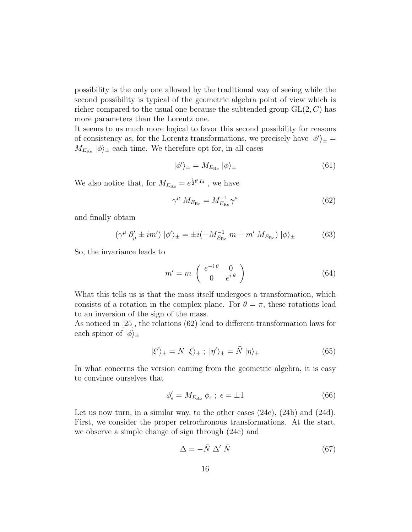possibility is the only one allowed by the traditional way of seeing while the second possibility is typical of the geometric algebra point of view which is richer compared to the usual one because the subtended group GL(2*, C*) has more parameters than the Lorentz one.

It seems to us much more logical to favor this second possibility for reasons of consistency as, for the Lorentz transformations, we precisely have  $|\phi'\rangle_{\pm} =$  $M_{E_{\text{Re}}} |\phi\rangle_{\pm}$  each time. We therefore opt for, in all cases

$$
|\phi'\rangle_{\pm} = M_{E_{\text{Re}}} |\phi\rangle_{\pm} \tag{61}
$$

We also notice that, for  $M_{E_{\text{Re}}} = e^{\frac{1}{2}\theta I_4}$ , we have

$$
\gamma^{\mu} \ M_{E_{\rm Re}} = M_{E_{\rm Re}}^{-1} \gamma^{\mu} \tag{62}
$$

and finally obtain

$$
\left(\gamma^{\mu}\partial_{\mu}^{\prime}\pm im'\right)|\phi^{\prime}\rangle_{\pm} = \pm i\left(-M_{E_{\mathrm{Re}}}^{-1}m + m'\,M_{E_{\mathrm{Re}}}\right)|\phi\rangle_{\pm} \tag{63}
$$

So, the invariance leads to

$$
m' = m \begin{pmatrix} e^{-i \theta} & 0\\ 0 & e^{i \theta} \end{pmatrix}
$$
 (64)

What this tells us is that the mass itself undergoes a transformation, which consists of a rotation in the complex plane. For  $\theta = \pi$ , these rotations lead to an inversion of the sign of the mass.

As noticed in [25], the relations (62) lead to different transformation laws for each spinor of  $|\phi\rangle_{\pm}$ 

$$
|\xi'\rangle_{\pm} = N |\xi\rangle_{\pm} ; |\eta'\rangle_{\pm} = \hat{N} |\eta\rangle_{\pm}
$$
 (65)

In what concerns the version coming from the geometric algebra, it is easy to convince ourselves that

$$
\phi'_{\epsilon} = M_{E_{\text{Re}}} \phi_{\epsilon} \; ; \; \epsilon = \pm 1 \tag{66}
$$

Let us now turn, in a similar way, to the other cases  $(24c)$ ,  $(24b)$  and  $(24d)$ . First, we consider the proper retrochronous transformations. At the start, we observe a simple change of sign through (24c) and

$$
\Delta = -\bar{N} \; \Delta' \; \hat{N} \tag{67}
$$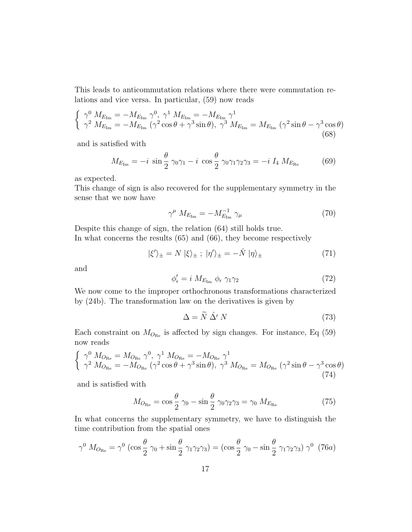This leads to anticommutation relations where there were commutation relations and vice versa. In particular, (59) now reads

$$
\begin{cases}\n\gamma^{0} \ M_{E_{\rm Im}} = -M_{E_{\rm Im}} \ \gamma^{0}, \ \gamma^{1} \ M_{E_{\rm Im}} = -M_{E_{\rm Im}} \ \gamma^{1} \\
\gamma^{2} \ M_{E_{\rm Im}} = -M_{E_{\rm Im}} \ (\gamma^{2} \cos \theta + \gamma^{3} \sin \theta), \ \gamma^{3} \ M_{E_{\rm Im}} = M_{E_{\rm Im}} \ (\gamma^{2} \sin \theta - \gamma^{3} \cos \theta) \\
(68)\n\end{cases}
$$

and is satisfied with

$$
M_{E_{\text{Im}}} = -i \sin \frac{\theta}{2} \gamma_0 \gamma_1 - i \cos \frac{\theta}{2} \gamma_0 \gamma_1 \gamma_2 \gamma_3 = -i I_4 M_{E_{\text{Re}}} \tag{69}
$$

as expected.

This change of sign is also recovered for the supplementary symmetry in the sense that we now have

$$
\gamma^{\mu} \ M_{E_{\text{Im}}} = -M_{E_{\text{Im}}}^{-1} \ \gamma_{\mu} \tag{70}
$$

Despite this change of sign, the relation (64) still holds true. In what concerns the results (65) and (66), they become respectively

$$
|\xi'\rangle_{\pm} = N |\xi\rangle_{\pm} ; |\eta'\rangle_{\pm} = -\hat{N} |\eta\rangle_{\pm}
$$
 (71)

and

$$
\phi'_{\epsilon} = i \ M_{E_{\rm Im}} \ \phi_{\epsilon} \ \gamma_1 \gamma_2 \tag{72}
$$

We now come to the improper orthochronous transformations characterized by (24b). The transformation law on the derivatives is given by

$$
\Delta = \tilde{N} \; \hat{\Delta'} \; N \tag{73}
$$

Each constraint on  $M_{O_{\text{Re}}}$  is affected by sign changes. For instance, Eq (59) now reads

$$
\begin{cases}\n\gamma^0 M_{O_{\text{Re}}} = M_{O_{\text{Re}}} \gamma^0, \gamma^1 M_{O_{\text{Re}}} = -M_{O_{\text{Re}}} \gamma^1 \\
\gamma^2 M_{O_{\text{Re}}} = -M_{O_{\text{Re}}} (\gamma^2 \cos \theta + \gamma^3 \sin \theta), \gamma^3 M_{O_{\text{Re}}} = M_{O_{\text{Re}}} (\gamma^2 \sin \theta - \gamma^3 \cos \theta) \\
(74)\n\end{cases}
$$

and is satisfied with

$$
M_{O_{\text{Re}}} = \cos\frac{\theta}{2} \gamma_0 - \sin\frac{\theta}{2} \gamma_0 \gamma_2 \gamma_3 = \gamma_0 M_{E_{\text{Re}}} \tag{75}
$$

In what concerns the supplementary symmetry, we have to distinguish the time contribution from the spatial ones

$$
\gamma^0 \ M_{O_{\text{Re}}} = \gamma^0 \ (\cos\frac{\theta}{2}\ \gamma_0 + \sin\frac{\theta}{2}\ \gamma_1 \gamma_2 \gamma_3) = (\cos\frac{\theta}{2}\ \gamma_0 - \sin\frac{\theta}{2}\ \gamma_1 \gamma_2 \gamma_3) \ \gamma^0 \ (76a)
$$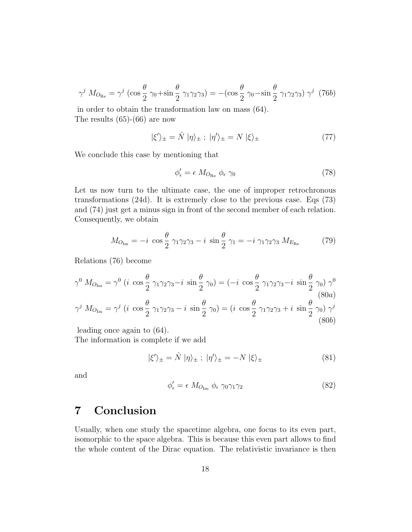$$
\gamma^j \ M_{O_{\text{Re}}} = \gamma^j \ (\cos\frac{\theta}{2} \ \gamma_0 + \sin\frac{\theta}{2} \ \gamma_1 \gamma_2 \gamma_3) = -(\cos\frac{\theta}{2} \ \gamma_0 - \sin\frac{\theta}{2} \ \gamma_1 \gamma_2 \gamma_3) \ \gamma^j \ (76b)
$$

in order to obtain the transformation law on mass (64). The results (65)-(66) are now

$$
|\xi'\rangle_{\pm} = \hat{N} |\eta\rangle_{\pm} ; |\eta'\rangle_{\pm} = N |\xi\rangle_{\pm}
$$
 (77)

We conclude this case by mentioning that

$$
\phi'_{\epsilon} = \epsilon \ M_{O_{\text{Re}}} \ \phi_{\epsilon} \ \gamma_0 \tag{78}
$$

Let us now turn to the ultimate case, the one of improper retrochronous transformations (24d). It is extremely close to the previous case. Eqs (73) and (74) just get a minus sign in front of the second member of each relation. Consequently, we obtain

$$
M_{O_{\text{Im}}} = -i \cos \frac{\theta}{2} \gamma_1 \gamma_2 \gamma_3 - i \sin \frac{\theta}{2} \gamma_1 = -i \gamma_1 \gamma_2 \gamma_3 M_{E_{\text{Re}}} \tag{79}
$$

Relations (76) become

$$
\gamma^{0} M_{O_{\text{Im}}} = \gamma^{0} (i \cos \frac{\theta}{2} \gamma_{1} \gamma_{2} \gamma_{3} - i \sin \frac{\theta}{2} \gamma_{0}) = (-i \cos \frac{\theta}{2} \gamma_{1} \gamma_{2} \gamma_{3} - i \sin \frac{\theta}{2} \gamma_{0}) \gamma^{0}
$$
\n
$$
\gamma^{j} M_{O_{\text{Im}}} = \gamma^{j} (i \cos \frac{\theta}{2} \gamma_{1} \gamma_{2} \gamma_{3} - i \sin \frac{\theta}{2} \gamma_{0}) = (i \cos \frac{\theta}{2} \gamma_{1} \gamma_{2} \gamma_{3} + i \sin \frac{\theta}{2} \gamma_{0}) \gamma^{j}
$$
\n(80b)

leading once again to (64).

The information is complete if we add

$$
|\xi'\rangle_{\pm} = \hat{N} |\eta\rangle_{\pm} ; |\eta'\rangle_{\pm} = -N |\xi\rangle_{\pm}
$$
 (81)

and

$$
\phi'_{\epsilon} = \epsilon \ M_{O_{\text{Im}}} \ \phi_{\epsilon} \ \gamma_0 \gamma_1 \gamma_2 \tag{82}
$$

### **7 Conclusion**

Usually, when one study the spacetime algebra, one focus to its even part, isomorphic to the space algebra. This is because this even part allows to find the whole content of the Dirac equation. The relativistic invariance is then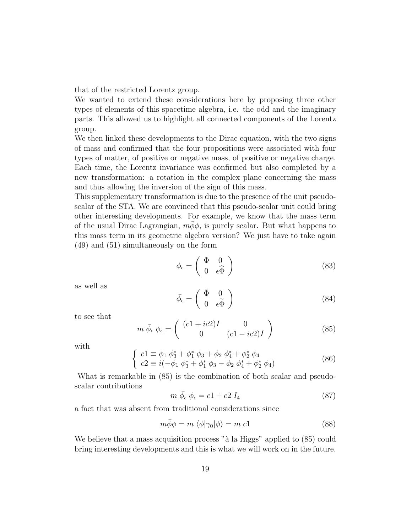that of the restricted Lorentz group.

We wanted to extend these considerations here by proposing three other types of elements of this spacetime algebra, i.e. the odd and the imaginary parts. This allowed us to highlight all connected components of the Lorentz group.

We then linked these developments to the Dirac equation, with the two signs of mass and confirmed that the four propositions were associated with four types of matter, of positive or negative mass, of positive or negative charge. Each time, the Lorentz invariance was confirmed but also completed by a new transformation: a rotation in the complex plane concerning the mass and thus allowing the inversion of the sign of this mass.

This supplementary transformation is due to the presence of the unit pseudoscalar of the STA. We are convinced that this pseudo-scalar unit could bring other interesting developments. For example, we know that the mass term of the usual Dirac Lagrangian,  $m\phi\phi$ , is purely scalar. But what happens to this mass term in its geometric algebra version? We just have to take again (49) and (51) simultaneously on the form

$$
\phi_{\epsilon} = \begin{pmatrix} \Phi & 0 \\ 0 & \epsilon \widehat{\Phi} \end{pmatrix} \tag{83}
$$

as well as

$$
\bar{\phi}_{\epsilon} = \begin{pmatrix} \bar{\Phi} & 0 \\ 0 & \epsilon \tilde{\Phi} \end{pmatrix}
$$
 (84)

to see that

$$
m \bar{\phi}_{\epsilon} \phi_{\epsilon} = \begin{pmatrix} (c1 + ic2)I & 0 \\ 0 & (c1 - ic2)I \end{pmatrix}
$$
 (85)

with

$$
\begin{cases}\nc1 \equiv \phi_1 \; \phi_3^* + \phi_1^* \; \phi_3 + \phi_2 \; \phi_4^* + \phi_2^* \; \phi_4 \\
c2 \equiv i(-\phi_1 \; \phi_3^* + \phi_1^* \; \phi_3 - \phi_2 \; \phi_4^* + \phi_2^* \; \phi_4)\n\end{cases} \tag{86}
$$

What is remarkable in (85) is the combination of both scalar and pseudoscalar contributions

$$
m \bar{\phi}_{\epsilon} \phi_{\epsilon} = c1 + c2 I_4 \tag{87}
$$

a fact that was absent from traditional considerations since

$$
m\bar{\phi}\phi = m \langle \phi | \gamma_0 | \phi \rangle = m c1 \tag{88}
$$

We believe that a mass acquisition process " $\hat{a}$  la Higgs" applied to (85) could bring interesting developments and this is what we will work on in the future.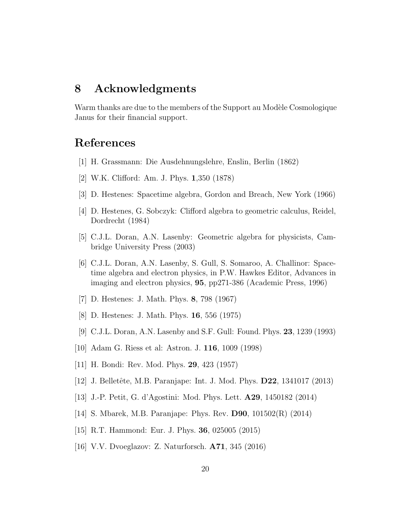#### **8 Acknowledgments**

Warm thanks are due to the members of the Support au Modèle Cosmologique Janus for their financial support.

#### **References**

- [1] H. Grassmann: Die Ausdehnungslehre, Enslin, Berlin (1862)
- [2] W.K. Clifford: Am. J. Phys. **1**,350 (1878)
- [3] D. Hestenes: Spacetime algebra, Gordon and Breach, New York (1966)
- [4] D. Hestenes, G. Sobczyk: Clifford algebra to geometric calculus, Reidel, Dordrecht (1984)
- [5] C.J.L. Doran, A.N. Lasenby: Geometric algebra for physicists, Cambridge University Press (2003)
- [6] C.J.L. Doran, A.N. Lasenby, S. Gull, S. Somaroo, A. Challinor: Spacetime algebra and electron physics, in P.W. Hawkes Editor, Advances in imaging and electron physics, **95**, pp271-386 (Academic Press, 1996)
- [7] D. Hestenes: J. Math. Phys. **8**, 798 (1967)
- [8] D. Hestenes: J. Math. Phys. **16**, 556 (1975)
- [9] C.J.L. Doran, A.N. Lasenby and S.F. Gull: Found. Phys. **23**, 1239 (1993)
- [10] Adam G. Riess et al: Astron. J. **116**, 1009 (1998)
- [11] H. Bondi: Rev. Mod. Phys. **29**, 423 (1957)
- [12] J. Belletˆete, M.B. Paranjape: Int. J. Mod. Phys. **D22**, 1341017 (2013)
- [13] J.-P. Petit, G. d'Agostini: Mod. Phys. Lett. **A29**, 1450182 (2014)
- [14] S. Mbarek, M.B. Paranjape: Phys. Rev. **D90**, 101502(R) (2014)
- [15] R.T. Hammond: Eur. J. Phys. **36**, 025005 (2015)
- [16] V.V. Dvoeglazov: Z. Naturforsch. **A71**, 345 (2016)